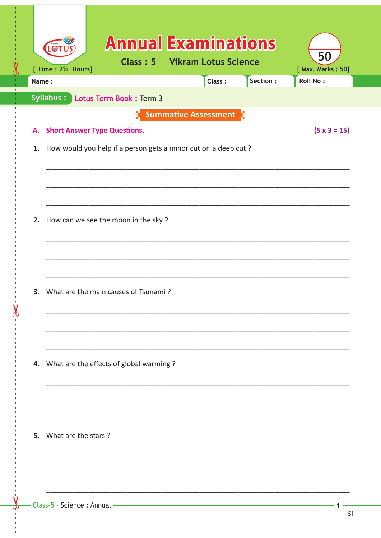|    | Name:                                                          |                                            | Class:                                         | Section: | Roll No:            |  |
|----|----------------------------------------------------------------|--------------------------------------------|------------------------------------------------|----------|---------------------|--|
|    | <b>Syllabus:</b>                                               | Lotus Term Book : Term 3                   |                                                |          |                     |  |
|    |                                                                |                                            | $\mathbf{F}$ Summative Assessment $\mathbf{F}$ |          |                     |  |
| А. | <b>Short Answer Type Questions.</b>                            |                                            |                                                |          | $(5 \times 3 = 15)$ |  |
| 1. | How would you help if a person gets a minor cut or a deep cut? |                                            |                                                |          |                     |  |
|    |                                                                |                                            |                                                |          |                     |  |
|    |                                                                |                                            |                                                |          |                     |  |
|    |                                                                |                                            |                                                |          |                     |  |
| 2. |                                                                | How can we see the moon in the sky?        |                                                |          |                     |  |
|    |                                                                |                                            |                                                |          |                     |  |
|    |                                                                |                                            |                                                |          |                     |  |
|    |                                                                |                                            |                                                |          |                     |  |
| 3. |                                                                | What are the main causes of Tsunami?       |                                                |          |                     |  |
|    |                                                                |                                            |                                                |          |                     |  |
|    |                                                                |                                            |                                                |          |                     |  |
|    |                                                                |                                            |                                                |          |                     |  |
|    |                                                                |                                            |                                                |          |                     |  |
|    |                                                                | 4. What are the effects of global warming? |                                                |          |                     |  |
|    |                                                                |                                            |                                                |          |                     |  |
|    |                                                                |                                            |                                                |          |                     |  |
|    |                                                                |                                            |                                                |          |                     |  |
|    |                                                                |                                            |                                                |          |                     |  |

 $\mathbf{1}$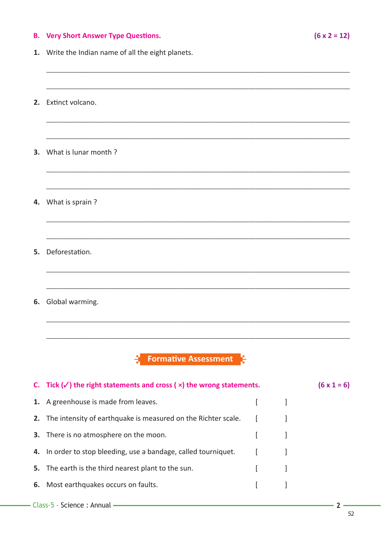## **B.** Very Short Answer Type Questions.

 $(6 \times 2 = 12)$ 

1. Write the Indian name of all the eight planets.

2. Extinct volcano. 3. What is lunar month? 4. What is sprain? 5. Deforestation. 6. Global warming. **Formative Assessment** C. Tick  $(\checkmark)$  the right statements and cross ( $\times$ ) the wrong statements.  $(6 \times 1 = 6)$ 1. A greenhouse is made from leaves.  $\overline{1}$  $\mathbf{1}$ 2. The intensity of earthquake is measured on the Richter scale.  $\mathbf{r}$  $\mathbf{I}$ 3. There is no atmosphere on the moon.  $\lceil$  $\mathbf{1}$ 4. In order to stop bleeding, use a bandage, called tourniquet.  $\mathsf{L}$  $\mathbf{1}$ 5. The earth is the third nearest plant to the sun.  $\mathbf{r}$ 1 6. Most earthquakes occurs on faults.  $\mathbf{r}$  $\mathbf{1}$ 

 $2<sup>1</sup>$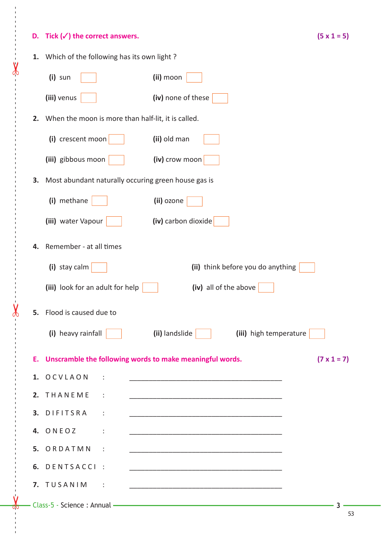## **D.** Tick  $(\checkmark)$  the correct answers.

------ - - --------------------------------------- --- -------------------------------------------------- ------------- - - - - ---

 $\dot{\mathsf{v}}$ 

|--|--|--|

|    | 1. Which of the following has its own light?                                      |                                                                                                                                                                                                                                      |  |  |  |
|----|-----------------------------------------------------------------------------------|--------------------------------------------------------------------------------------------------------------------------------------------------------------------------------------------------------------------------------------|--|--|--|
|    | $(i)$ sun                                                                         | (ii) moon                                                                                                                                                                                                                            |  |  |  |
|    | (iii) venus                                                                       | (iv) none of these                                                                                                                                                                                                                   |  |  |  |
| 2. | When the moon is more than half-lit, it is called.                                |                                                                                                                                                                                                                                      |  |  |  |
|    | (i) crescent moon                                                                 | (ii) old man                                                                                                                                                                                                                         |  |  |  |
|    | (iii) gibbous moon                                                                | (iv) crow moon                                                                                                                                                                                                                       |  |  |  |
| 3. | Most abundant naturally occuring green house gas is                               |                                                                                                                                                                                                                                      |  |  |  |
|    | (i) methane                                                                       | (ii) ozone                                                                                                                                                                                                                           |  |  |  |
|    | (iii) water Vapour                                                                | (iv) carbon dioxide                                                                                                                                                                                                                  |  |  |  |
| 4. | Remember - at all times                                                           |                                                                                                                                                                                                                                      |  |  |  |
|    |                                                                                   | (ii) think before you do anything                                                                                                                                                                                                    |  |  |  |
|    | (i) stay calm                                                                     |                                                                                                                                                                                                                                      |  |  |  |
|    | (iii) look for an adult for help                                                  | (iv) all of the above                                                                                                                                                                                                                |  |  |  |
| 5. | Flood is caused due to                                                            |                                                                                                                                                                                                                                      |  |  |  |
|    | (i) heavy rainfall                                                                | (ii) landslide<br>(iii) high temperature                                                                                                                                                                                             |  |  |  |
|    | E. Unscramble the following words to make meaningful words.<br>$(7 \times 1 = 7)$ |                                                                                                                                                                                                                                      |  |  |  |
|    | 1. OCVLAON<br>$\sim$ 1                                                            |                                                                                                                                                                                                                                      |  |  |  |
|    | 2. THANEME :                                                                      |                                                                                                                                                                                                                                      |  |  |  |
|    | 3. DIFITSRA :                                                                     |                                                                                                                                                                                                                                      |  |  |  |
|    | 4. ONEOZ<br>$\sim$ 100 $\pm$ 100 $\pm$                                            |                                                                                                                                                                                                                                      |  |  |  |
|    | 5. ORDATMN :                                                                      |                                                                                                                                                                                                                                      |  |  |  |
|    | 6. DENTSACCI :                                                                    |                                                                                                                                                                                                                                      |  |  |  |
|    | 7. TUSANIM<br>$\sim$ $\sim$ $\sim$ $\sim$                                         |                                                                                                                                                                                                                                      |  |  |  |
|    |                                                                                   | - Class-5 - Science : Annual <b>- Executive Contract Contract Contract Contract Contract Contract Contract Contract Contract Contract Contract Contract Contract Contract Contract Contract Contract Contract Contract Contract </b> |  |  |  |